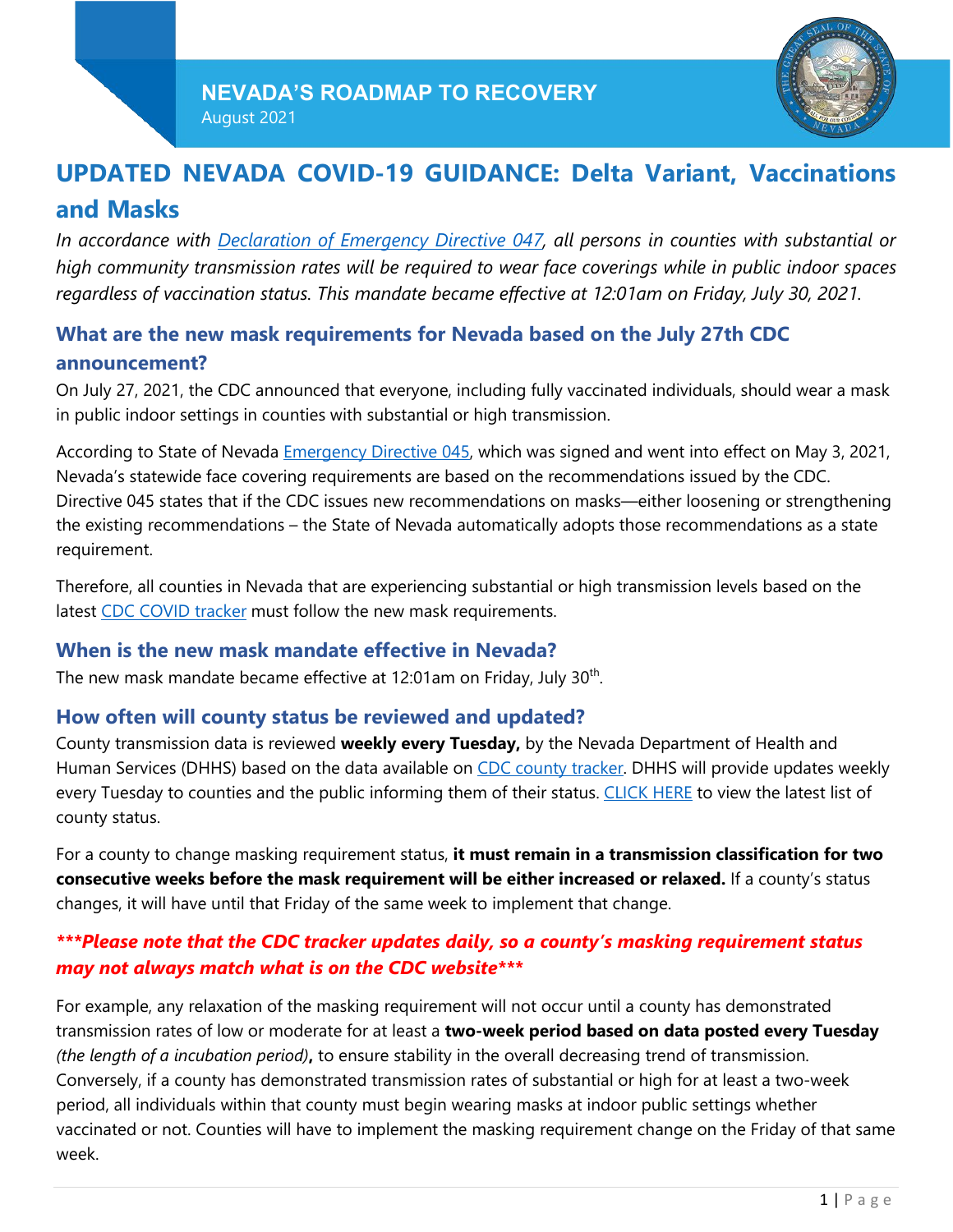

# **UPDATED NEVADA COVID-19 GUIDANCE: Delta Variant, Vaccinations and Masks**

*In accordance with [Declaration](https://nvhealthresponse.nv.gov/wp-content/uploads/2021/07/20210727145003613.pdf) of Emergency Directive 047, all persons in counties with substantial or high community transmission rates will be required to wear face coverings while in public indoor spaces regardless of vaccination status. This mandate became effective at 12:01am on Friday, July 30, 2021.*

## **What are the new mask requirements for Nevada based on the July 27th CDC announcement?**

On July 27, 2021, the CDC announced that everyone, including fully vaccinated individuals, should wear a mask in public indoor settings in counties with substantial or high transmission.

According to State of Nevada [Emergency](https://gov.nv.gov/News/Emergency_Orders/2021/2021-05-03_-_COVID-19_Emergency_Declaration_Directive_045/) Directive 045, which was signed and went into effect on May 3, 2021, Nevada's statewide face covering requirements are based on the recommendations issued by the CDC. Directive 045 states that if the CDC issues new recommendations on masks—either loosening or strengthening the existing recommendations – the State of Nevada automatically adopts those recommendations as a state requirement.

Therefore, all counties in Nevada that are experiencing substantial or high transmission levels based on the latest CDC COVID [tracker](https://covid.cdc.gov/covid-data-tracker/#county-view) must follow the new mask requirements.

#### **When is the new mask mandate effective in Nevada?**

The new mask mandate became effective at 12:01am on Friday, July 30<sup>th</sup>.

### **How often will county status be reviewed and updated?**

County transmission data is reviewed **weekly every Tuesday,** by the Nevada Department of Health and Human Services (DHHS) based on the data available on CDC county [tracker.](https://covid.cdc.gov/covid-data-tracker/#county-view) DHHS will provide updates weekly every Tuesday to counties and the public informing them of their status. [CLICK](https://nvhealthresponse.nv.gov/current-status-mitigation-measures/) HERE to view the latest list of county status.

For a county to change masking requirement status, **it must remain in a transmission classification for two consecutive weeks before the mask requirement will be either increased or relaxed.** If a county's status changes, it will have until that Friday of the same week to implement that change.

### *\*\*\*Please note that the CDC tracker updates daily, so a county's masking requirement status may not always match what is on the CDC website\*\*\**

For example, any relaxation of the masking requirement will not occur until a county has demonstrated transmission rates of low or moderate for at least a **two-week period based on data posted every Tuesday** *(the length of a incubation period)***,** to ensure stability in the overall decreasing trend of transmission. Conversely, if a county has demonstrated transmission rates of substantial or high for at least a two-week period, all individuals within that county must begin wearing masks at indoor public settings whether vaccinated or not. Counties will have to implement the masking requirement change on the Friday of that same week.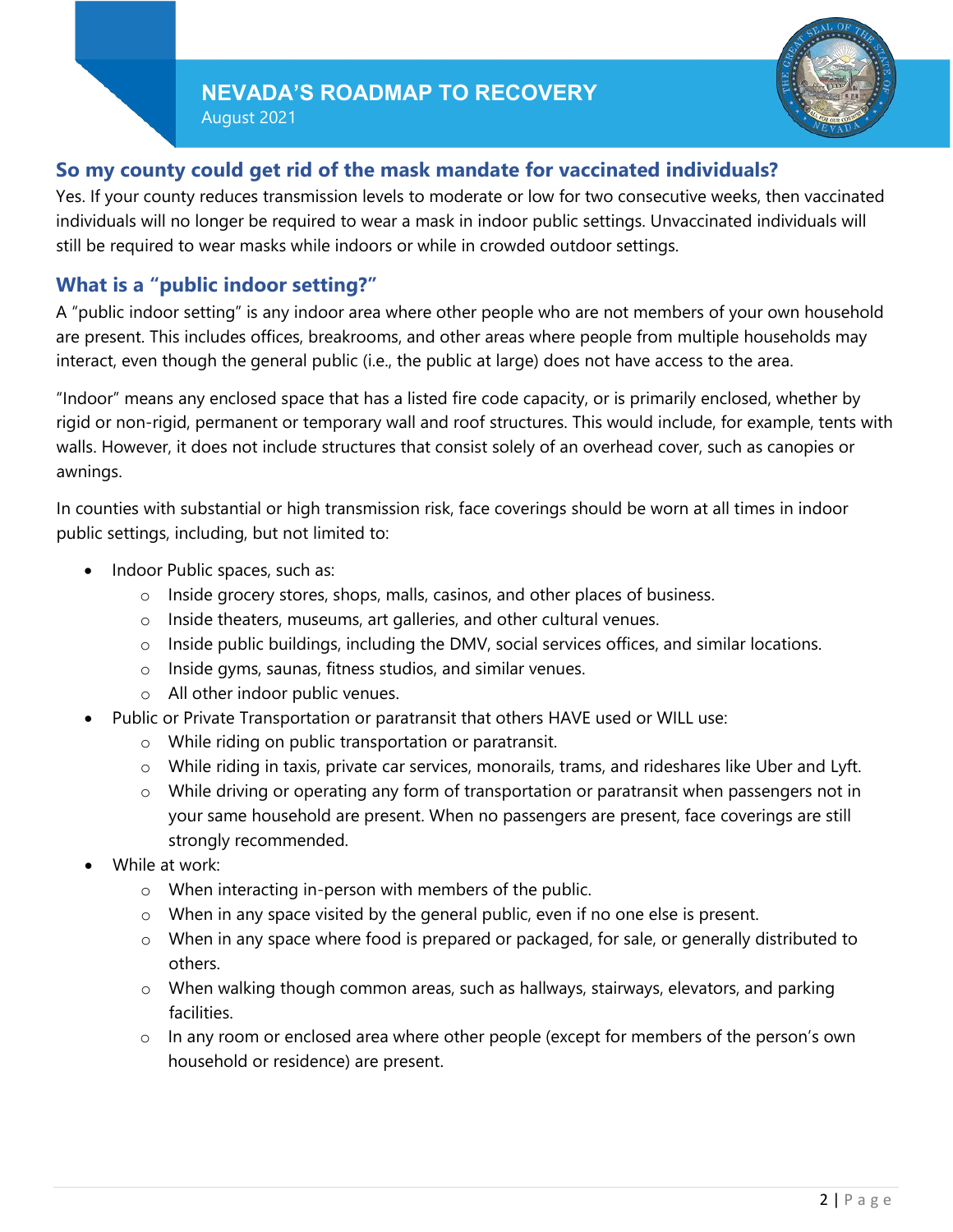August 2021



### **So my county could get rid of the mask mandate for vaccinated individuals?**

Yes. If your county reduces transmission levels to moderate or low for two consecutive weeks, then vaccinated individuals will no longer be required to wear a mask in indoor public settings. Unvaccinated individuals will still be required to wear masks while indoors or while in crowded outdoor settings.

### **What is a "public indoor setting?"**

A "public indoor setting" is any indoor area where other people who are not members of your own household are present. This includes offices, breakrooms, and other areas where people from multiple households may interact, even though the general public (i.e., the public at large) does not have access to the area.

"Indoor" means any enclosed space that has a listed fire code capacity, or is primarily enclosed, whether by rigid or non-rigid, permanent or temporary wall and roof structures. This would include, for example, tents with walls. However, it does not include structures that consist solely of an overhead cover, such as canopies or awnings.

In counties with substantial or high transmission risk, face coverings should be worn at all times in indoor public settings, including, but not limited to:

- Indoor Public spaces, such as:
	- o Inside grocery stores, shops, malls, casinos, and other places of business.
	- o Inside theaters, museums, art galleries, and other cultural venues.
	- $\circ$  Inside public buildings, including the DMV, social services offices, and similar locations.
	- o Inside gyms, saunas, fitness studios, and similar venues.
	- o All other indoor public venues.
- Public or Private Transportation or paratransit that others HAVE used or WILL use:
	- o While riding on public transportation or paratransit.
	- o While riding in taxis, private car services, monorails, trams, and rideshares like Uber and Lyft.
	- $\circ$  While driving or operating any form of transportation or paratransit when passengers not in your same household are present. When no passengers are present, face coverings are still strongly recommended.
- While at work:
	- o When interacting in-person with members of the public.
	- o When in any space visited by the general public, even if no one else is present.
	- $\circ$  When in any space where food is prepared or packaged, for sale, or generally distributed to others.
	- o When walking though common areas, such as hallways, stairways, elevators, and parking facilities.
	- $\circ$  In any room or enclosed area where other people (except for members of the person's own household or residence) are present.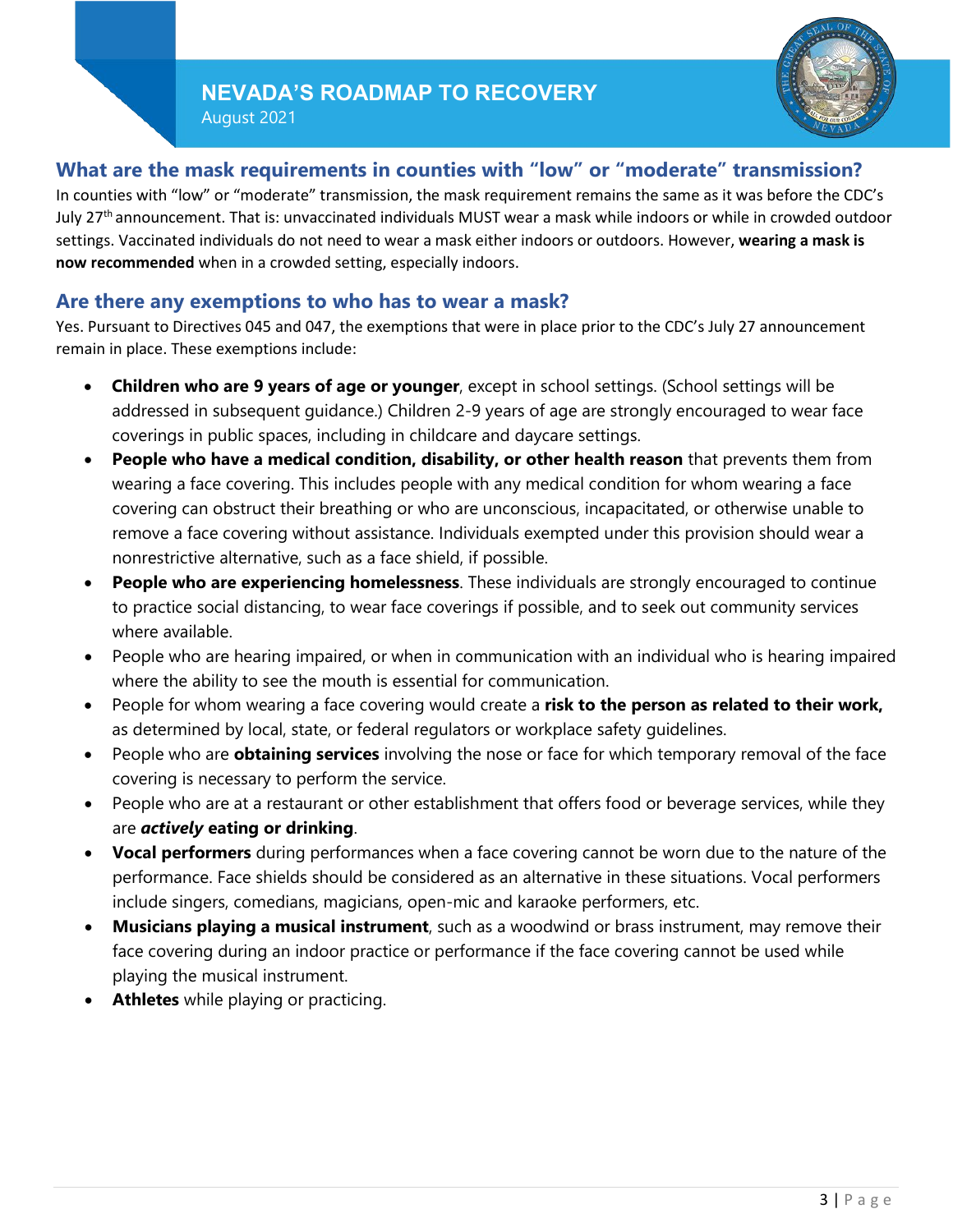## **NEVADA'S ROADMAP TO RECOVERY**

August 2021



### **What are the mask requirements in counties with "low" or "moderate" transmission?**

In counties with "low" or "moderate" transmission, the mask requirement remains the same as it was before the CDC's July 27th announcement. That is: unvaccinated individuals MUST wear a mask while indoors or while in crowded outdoor settings. Vaccinated individuals do not need to wear a mask either indoors or outdoors. However, **wearing a mask is now recommended** when in a crowded setting, especially indoors.

#### **Are there any exemptions to who has to wear a mask?**

Yes. Pursuant to Directives 045 and 047, the exemptions that were in place prior to the CDC's July 27 announcement remain in place. These exemptions include:

- **Children who are 9 years of age or younger**, except in school settings. (School settings will be addressed in subsequent guidance.) Children 2-9 years of age are strongly encouraged to wear face coverings in public spaces, including in childcare and daycare settings.
- **People who have a medical condition, disability, or other health reason** that prevents them from wearing a face covering. This includes people with any medical condition for whom wearing a face covering can obstruct their breathing or who are unconscious, incapacitated, or otherwise unable to remove a face covering without assistance. Individuals exempted under this provision should wear a nonrestrictive alternative, such as a face shield, if possible.
- **People who are experiencing homelessness**. These individuals are strongly encouraged to continue to practice social distancing, to wear face coverings if possible, and to seek out community services where available.
- People who are hearing impaired, or when in communication with an individual who is hearing impaired where the ability to see the mouth is essential for communication.
- People for whom wearing a face covering would create a **risk to the person as related to their work,** as determined by local, state, or federal regulators or workplace safety guidelines.
- People who are **obtaining services** involving the nose or face for which temporary removal of the face covering is necessary to perform the service.
- People who are at a restaurant or other establishment that offers food or beverage services, while they are *actively* **eating or drinking**.
- **Vocal performers** during performances when a face covering cannot be worn due to the nature of the performance. Face shields should be considered as an alternative in these situations. Vocal performers include singers, comedians, magicians, open-mic and karaoke performers, etc.
- **Musicians playing a musical instrument**, such as a woodwind or brass instrument, may remove their face covering during an indoor practice or performance if the face covering cannot be used while playing the musical instrument.
- **Athletes** while playing or practicing.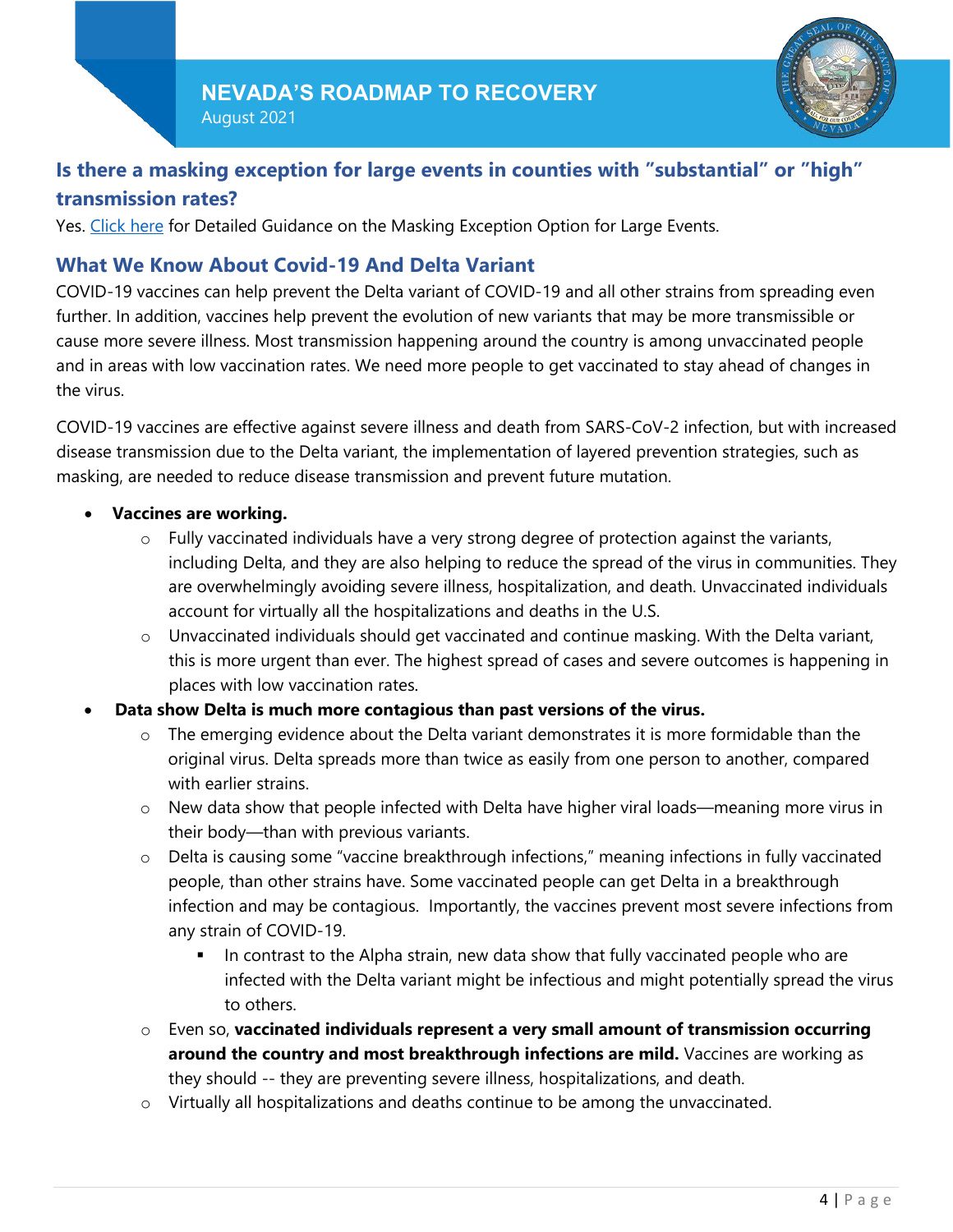

## **Is there a masking exception for large events in counties with "substantial" or "high" transmission rates?**

Yes. [Click](https://nvhealthresponse.nv.gov/wp-content/uploads/2021/08/8.16.21-Masking-Exception-Option-for-Large-Events.pdf) here for Detailed Guidance on the Masking Exception Option for Large Events.

### **What We Know About Covid-19 And Delta Variant**

COVID-19 vaccines can help prevent the Delta variant of COVID-19 and all other strains from spreading even further. In addition, vaccines help prevent the evolution of new variants that may be more transmissible or cause more severe illness. Most transmission happening around the country is among unvaccinated people and in areas with low vaccination rates. We need more people to get vaccinated to stay ahead of changes in the virus.

COVID-19 vaccines are effective against severe illness and death from SARS-CoV-2 infection, but with increased disease transmission due to the Delta variant, the implementation of layered prevention strategies, such as masking, are needed to reduce disease transmission and prevent future mutation.

#### • **Vaccines are working.**

- o Fully vaccinated individuals have a very strong degree of protection against the variants, including Delta, and they are also helping to reduce the spread of the virus in communities. They are overwhelmingly avoiding severe illness, hospitalization, and death. Unvaccinated individuals account for virtually all the hospitalizations and deaths in the U.S.
- o Unvaccinated individuals should get vaccinated and continue masking. With the Delta variant, this is more urgent than ever. The highest spread of cases and severe outcomes is happening in places with low vaccination rates.
- **Data show Delta is much more contagious than past versions of the virus.**
	- o The emerging evidence about the Delta variant demonstrates it is more formidable than the original virus. Delta spreads more than twice as easily from one person to another, compared with earlier strains.
	- o New data show that people infected with Delta have higher viral loads—meaning more virus in their body—than with previous variants.
	- $\circ$  Delta is causing some "vaccine breakthrough infections," meaning infections in fully vaccinated people, than other strains have. Some vaccinated people can get Delta in a breakthrough infection and may be contagious. Importantly, the vaccines prevent most severe infections from any strain of COVID-19.
		- In contrast to the Alpha strain, new data show that fully vaccinated people who are infected with the Delta variant might be infectious and might potentially spread the virus to others.
	- o Even so, **vaccinated individuals represent a very small amount of transmission occurring around the country and most breakthrough infections are mild.** Vaccines are working as they should -- they are preventing severe illness, hospitalizations, and death.
	- o Virtually all hospitalizations and deaths continue to be among the unvaccinated.